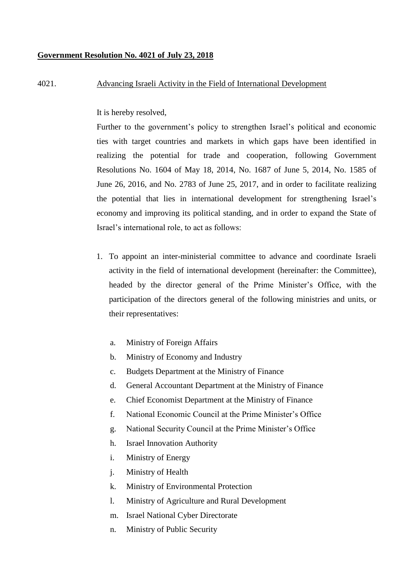## **Government Resolution No. 4021 of July 23, 2018**

## 4021. Advancing Israeli Activity in the Field of International Development

It is hereby resolved,

Further to the government's policy to strengthen Israel's political and economic ties with target countries and markets in which gaps have been identified in realizing the potential for trade and cooperation, following Government Resolutions No. 1604 of May 18, 2014, No. 1687 of June 5, 2014, No. 1585 of June 26, 2016, and No. 2783 of June 25, 2017, and in order to facilitate realizing the potential that lies in international development for strengthening Israel's economy and improving its political standing, and in order to expand the State of Israel's international role, to act as follows:

- 1. To appoint an inter-ministerial committee to advance and coordinate Israeli activity in the field of international development (hereinafter: the Committee), headed by the director general of the Prime Minister's Office, with the participation of the directors general of the following ministries and units, or their representatives:
	- a. Ministry of Foreign Affairs
	- b. Ministry of Economy and Industry
	- c. Budgets Department at the Ministry of Finance
	- d. General Accountant Department at the Ministry of Finance
	- e. Chief Economist Department at the Ministry of Finance
	- f. National Economic Council at the Prime Minister's Office
	- g. National Security Council at the Prime Minister's Office
	- h. Israel Innovation Authority
	- i. Ministry of Energy
	- j. Ministry of Health
	- k. Ministry of Environmental Protection
	- l. Ministry of Agriculture and Rural Development
	- m. Israel National Cyber Directorate
	- n. Ministry of Public Security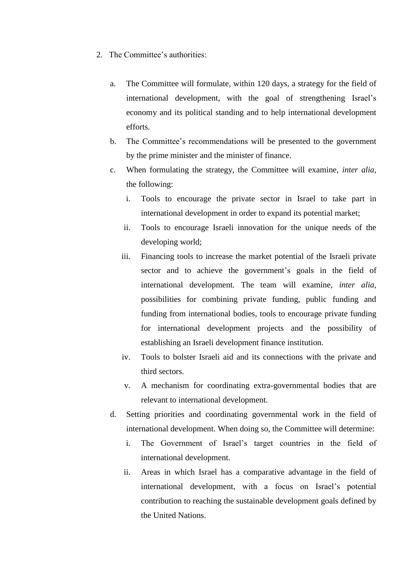- 2. The Committee's authorities:
	- a. The Committee will formulate, within 120 days, a strategy for the field of international development, with the goal of strengthening Israel's economy and its political standing and to help international development efforts.
	- b. The Committee's recommendations will be presented to the government by the prime minister and the minister of finance.
	- c. When formulating the strategy, the Committee will examine, *inter alia*, the following:
		- i. Tools to encourage the private sector in Israel to take part in international development in order to expand its potential market;
		- ii. Tools to encourage Israeli innovation for the unique needs of the developing world;
		- iii. Financing tools to increase the market potential of the Israeli private sector and to achieve the government's goals in the field of international development. The team will examine, *inter alia*, possibilities for combining private funding, public funding and funding from international bodies, tools to encourage private funding for international development projects and the possibility of establishing an Israeli development finance institution.
		- iv. Tools to bolster Israeli aid and its connections with the private and third sectors.
		- v. A mechanism for coordinating extra-governmental bodies that are relevant to international development.
	- d. Setting priorities and coordinating governmental work in the field of international development. When doing so, the Committee will determine:
		- i. The Government of Israel's target countries in the field of international development.
		- ii. Areas in which Israel has a comparative advantage in the field of international development, with a focus on Israel's potential contribution to reaching the sustainable development goals defined by the United Nations.